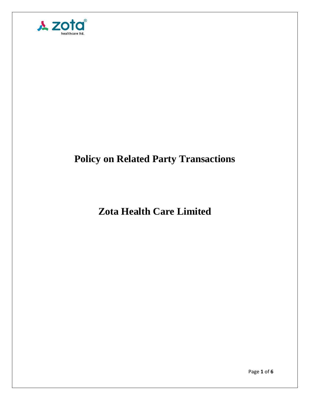

# **Policy on Related Party Transactions**

## **Zota Health Care Limited**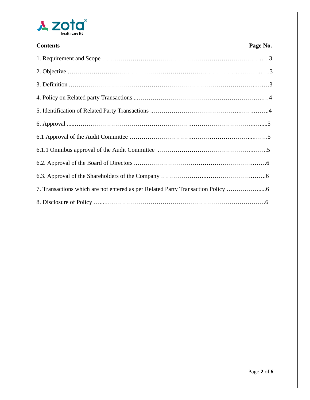

| <b>Contents</b>                                                               | Page No. |
|-------------------------------------------------------------------------------|----------|
|                                                                               |          |
|                                                                               |          |
|                                                                               |          |
|                                                                               |          |
|                                                                               |          |
|                                                                               |          |
|                                                                               |          |
|                                                                               |          |
|                                                                               |          |
|                                                                               |          |
| 7. Transactions which are not entered as per Related Party Transaction Policy |          |
|                                                                               |          |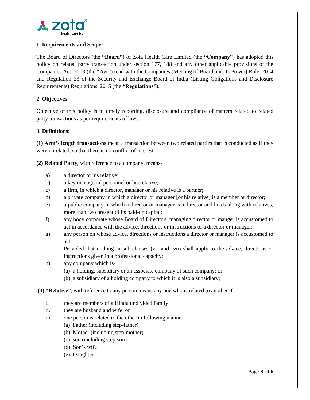

#### **1. Requirements and Scope:**

The Board of Directors (the **"Board"**) of Zota Health Care Limited (the **"Company"**) has adopted this policy on related party transaction under section 177, 188 and any other applicable provisions of the Companies Act, 2013 (the **"Act"**) read with the Companies (Meeting of Board and its Power) Rule, 2014 and Regulation 23 of the Security and Exchange Board of India (Listing Obligations and Disclosure Requirements) Regulations, 2015 (the **"Regulations"**).

#### **2. Objectives:**

Objective of this policy is to timely reporting, disclosure and compliance of matters related to related party transactions as per requirements of laws.

#### **3. Definitions:**

**(1) Arm's length transactions** mean a transaction between two related parties that is conducted as if they were unrelated, so that there is no conflict of interest.

**(2) Related Party**, with reference to a company, means-

- a) a director or his relative;
- b) a key managerial personnel or his relative;
- c) a firm, in which a director, manager or his relative is a partner;
- d) a private company in which a director or manager [or his relative] is a member or director;
- e) a public company in which a director or manager is a director and holds along with relatives, more than two present of its paid-up capital;
- f) any body corporate whose Board of Directors, managing director or manger is accustomed to act in accordance with the advice, directions or instructions of a director or manager;
- g) any person on whose advice, directions or instructions a director or manager is accustomed to act:

Provided that nothing in sub-clauses (vi) and (vii) shall apply to the advice, directions or instructions given in a professional capacity;

- h) any company which is-
	- (a) a holding, subsidiary or an associate company of such company; or
	- (b) a subsidiary of a holding company to which it is also a subsidiary;
- **(3) "Relative"**, with reference to any person means any one who is related to another if
	- i. they are members of a Hindu undivided family
	- ii. they are husband and wife; or
	- iii. one person is related to the other in following manner:
		- (a) Father (including step-father)
		- (b) Mother (including step-mother)
		- (c) son (including step-son)
		- (d) Son's wife
		- (e) Daughter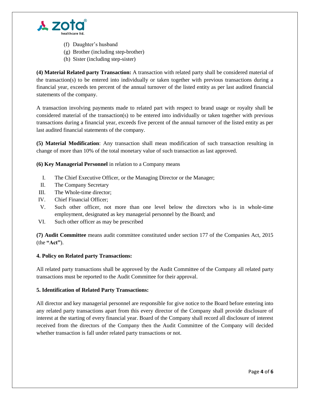

- (f) Daughter's husband
- (g) Brother (including step-brother)
- (h) Sister (including step-sister)

**(4) Material Related party Transaction:** A transaction with related party shall be considered material of the transaction(s) to be entered into individually or taken together with previous transactions during a financial year, exceeds ten percent of the annual turnover of the listed entity as per last audited financial statements of the company.

A transaction involving payments made to related part with respect to brand usage or royalty shall be considered material of the transaction(s) to be entered into individually or taken together with previous transactions during a financial year, exceeds five percent of the annual turnover of the listed entity as per last audited financial statements of the company.

**(5) Material Modification**: Any transaction shall mean modification of such transaction resulting in change of more than 10% of the total monetary value of such transaction as last approved.

**(6) Key Managerial Personnel** in relation to a Company means

- I. The Chief Executive Officer, or the Managing Director or the Manager;
- II. The Company Secretary
- III. The Whole-time director;
- IV. Chief Financial Officer;
- V. Such other officer, not more than one level below the directors who is in whole-time employment, designated as key managerial personnel by the Board; and
- VI. Such other officer as may be prescribed

**(7) Audit Committee** means audit committee constituted under section 177 of the Companies Act, 2015 (the **"Act"**).

## **4. Policy on Related party Transactions:**

All related party transactions shall be approved by the Audit Committee of the Company all related party transactions must be reported to the Audit Committee for their approval.

## **5. Identification of Related Party Transactions:**

All director and key managerial personnel are responsible for give notice to the Board before entering into any related party transactions apart from this every director of the Company shall provide disclosure of interest at the starting of every financial year. Board of the Company shall record all disclosure of interest received from the directors of the Company then the Audit Committee of the Company will decided whether transaction is fall under related party transactions or not.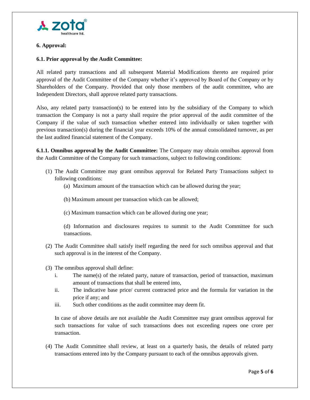

#### **6. Approval:**

## **6.1. Prior approval by the Audit Committee:**

All related party transactions and all subsequent Material Modifications thereto are required prior approval of the Audit Committee of the Company whether it's approved by Board of the Company or by Shareholders of the Company. Provided that only those members of the audit committee, who are Independent Directors, shall approve related party transactions.

Also, any related party transaction(s) to be entered into by the subsidiary of the Company to which transaction the Company is not a party shall require the prior approval of the audit committee of the Company if the value of such transaction whether entered into individually or taken together with previous transaction(s) during the financial year exceeds 10% of the annual consolidated turnover, as per the last audited financial statement of the Company.

**6.1.1. Omnibus approval by the Audit Committee:** The Company may obtain omnibus approval from the Audit Committee of the Company for such transactions, subject to following conditions:

- (1) The Audit Committee may grant omnibus approval for Related Party Transactions subject to following conditions:
	- (a) Maximum amount of the transaction which can be allowed during the year;
	- (b) Maximum amount per transaction which can be allowed;
	- (c) Maximum transaction which can be allowed during one year;

(d) Information and disclosures requires to summit to the Audit Committee for such transactions.

- (2) The Audit Committee shall satisfy itself regarding the need for such omnibus approval and that such approval is in the interest of the Company.
- (3) The omnibus approval shall define:
	- i. The name(s) of the related party, nature of transaction, period of transaction, maximum amount of transactions that shall be entered into,
	- ii. The indicative base price/ current contracted price and the formula for variation in the price if any; and
	- iii. Such other conditions as the audit committee may deem fit.

In case of above details are not available the Audit Committee may grant omnibus approval for such transactions for value of such transactions does not exceeding rupees one crore per transaction.

(4) The Audit Committee shall review, at least on a quarterly basis, the details of related party transactions entered into by the Company pursuant to each of the omnibus approvals given.